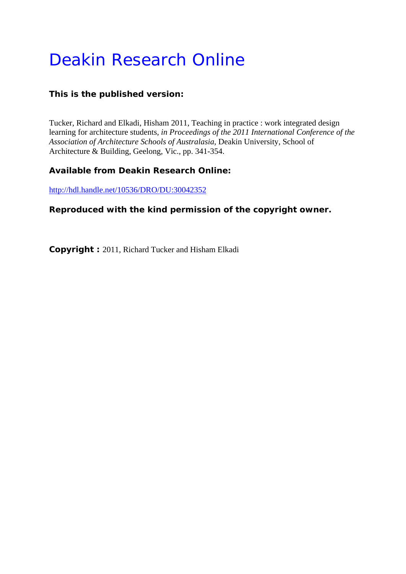# Deakin Research Online

# **This is the published version:**

Tucker, Richard and Elkadi, Hisham 2011, Teaching in practice : work integrated design learning for architecture students*, in Proceedings of the 2011 International Conference of the Association of Architecture Schools of Australasia*, Deakin University, School of Architecture & Building, Geelong, Vic., pp. 341-354.

## **Available from Deakin Research Online:**

http://hdl.handle.net/10536/DRO/DU:30042352

## **Reproduced with the kind permission of the copyright owner.**

**Copyright :** 2011, Richard Tucker and Hisham Elkadi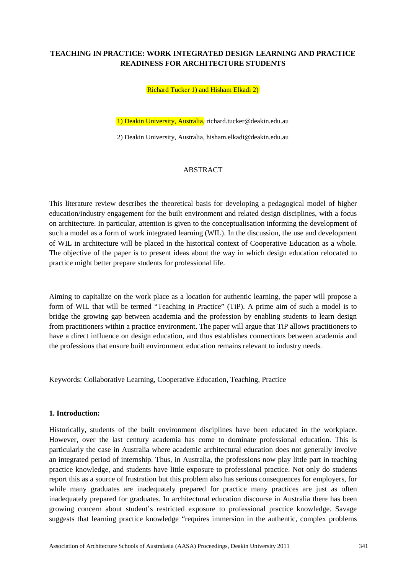## **TEACHING IN PRACTICE: WORK INTEGRATED DESIGN LEARNING AND PRACTICE READINESS FOR ARCHITECTURE STUDENTS**

Richard Tucker 1) and Hisham Elkadi 2)

1) Deakin University, Australia, richard.tucker@deakin.edu.au

2) Deakin University, Australia, hisham.elkadi@deakin.edu.au

#### ABSTRACT

This literature review describes the theoretical basis for developing a pedagogical model of higher education/industry engagement for the built environment and related design disciplines, with a focus on architecture. In particular, attention is given to the conceptualisation informing the development of such a model as a form of work integrated learning (WIL). In the discussion, the use and development of WIL in architecture will be placed in the historical context of Cooperative Education as a whole. The objective of the paper is to present ideas about the way in which design education relocated to practice might better prepare students for professional life.

Aiming to capitalize on the work place as a location for authentic learning, the paper will propose a form of WIL that will be termed "Teaching in Practice" (TiP). A prime aim of such a model is to bridge the growing gap between academia and the profession by enabling students to learn design from practitioners within a practice environment. The paper will argue that TiP allows practitioners to have a direct influence on design education, and thus establishes connections between academia and the professions that ensure built environment education remains relevant to industry needs.

Keywords: Collaborative Learning, Cooperative Education, Teaching, Practice

#### **1. Introduction:**

Historically, students of the built environment disciplines have been educated in the workplace. However, over the last century academia has come to dominate professional education. This is particularly the case in Australia where academic architectural education does not generally involve an integrated period of internship. Thus, in Australia, the professions now play little part in teaching practice knowledge, and students have little exposure to professional practice. Not only do students report this as a source of frustration but this problem also has serious consequences for employers, for while many graduates are inadequately prepared for practice many practices are just as often inadequately prepared for graduates. In architectural education discourse in Australia there has been growing concern about student's restricted exposure to professional practice knowledge. Savage suggests that learning practice knowledge "requires immersion in the authentic, complex problems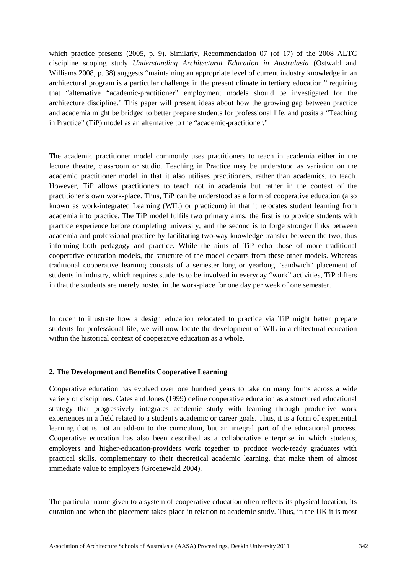which practice presents (2005, p. 9). Similarly, Recommendation 07 (of 17) of the 2008 ALTC discipline scoping study *Understanding Architectural Education in Australasia* (Ostwald and Williams 2008, p. 38) suggests "maintaining an appropriate level of current industry knowledge in an architectural program is a particular challenge in the present climate in tertiary education," requiring that "alternative "academic-practitioner" employment models should be investigated for the architecture discipline." This paper will present ideas about how the growing gap between practice and academia might be bridged to better prepare students for professional life, and posits a "Teaching in Practice" (TiP) model as an alternative to the "academic-practitioner."

The academic practitioner model commonly uses practitioners to teach in academia either in the lecture theatre, classroom or studio. Teaching in Practice may be understood as variation on the academic practitioner model in that it also utilises practitioners, rather than academics, to teach. However, TiP allows practitioners to teach not in academia but rather in the context of the practitioner's own work-place. Thus, TiP can be understood as a form of cooperative education (also known as work-integrated Learning (WIL) or practicum) in that it relocates student learning from academia into practice. The TiP model fulfils two primary aims; the first is to provide students with practice experience before completing university, and the second is to forge stronger links between academia and professional practice by facilitating two-way knowledge transfer between the two; thus informing both pedagogy and practice. While the aims of TiP echo those of more traditional cooperative education models, the structure of the model departs from these other models. Whereas traditional cooperative learning consists of a semester long or yearlong "sandwich" placement of students in industry, which requires students to be involved in everyday "work" activities, TiP differs in that the students are merely hosted in the work-place for one day per week of one semester.

In order to illustrate how a design education relocated to practice via TiP might better prepare students for professional life, we will now locate the development of WIL in architectural education within the historical context of cooperative education as a whole.

### **2. The Development and Benefits Cooperative Learning**

Cooperative education has evolved over one hundred years to take on many forms across a wide variety of disciplines. Cates and Jones (1999) define cooperative education as a structured educational strategy that progressively integrates academic study with learning through productive work experiences in a field related to a student's academic or career goals. Thus, it is a form of experiential learning that is not an add-on to the curriculum, but an integral part of the educational process. Cooperative education has also been described as a collaborative enterprise in which students, employers and higher-education-providers work together to produce work‐ready graduates with practical skills, complementary to their theoretical academic learning, that make them of almost immediate value to employers (Groenewald 2004).

The particular name given to a system of cooperative education often reflects its physical location, its duration and when the placement takes place in relation to academic study. Thus, in the UK it is most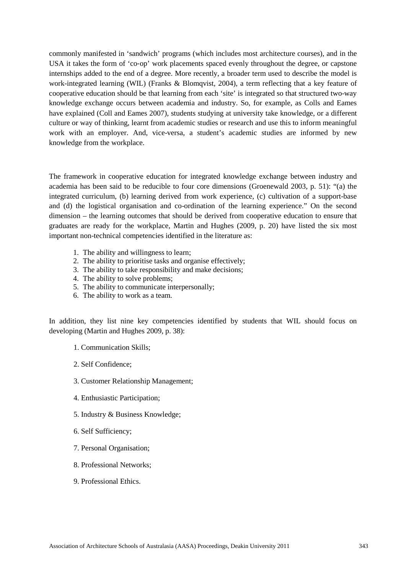commonly manifested in 'sandwich' programs (which includes most architecture courses), and in the USA it takes the form of 'co-op' work placements spaced evenly throughout the degree, or capstone internships added to the end of a degree. More recently, a broader term used to describe the model is work-integrated learning (WIL) (Franks & Blomqvist, 2004), a term reflecting that a key feature of cooperative education should be that learning from each 'site' is integrated so that structured two-way knowledge exchange occurs between academia and industry. So, for example, as Colls and Eames have explained (Coll and Eames 2007), students studying at university take knowledge, or a different culture or way of thinking, learnt from academic studies or research and use this to inform meaningful work with an employer. And, vice-versa, a student's academic studies are informed by new knowledge from the workplace.

The framework in cooperative education for integrated knowledge exchange between industry and academia has been said to be reducible to four core dimensions (Groenewald 2003, p. 51): "(a) the integrated curriculum, (b) learning derived from work experience, (c) cultivation of a support-base and (d) the logistical organisation and co-ordination of the learning experience." On the second dimension – the learning outcomes that should be derived from cooperative education to ensure that graduates are ready for the workplace, Martin and Hughes (2009, p. 20) have listed the six most important non-technical competencies identified in the literature as:

- 1. The ability and willingness to learn;
- 2. The ability to prioritise tasks and organise effectively;
- 3. The ability to take responsibility and make decisions;
- 4. The ability to solve problems;
- 5. The ability to communicate interpersonally;
- 6. The ability to work as a team.

In addition, they list nine key competencies identified by students that WIL should focus on developing (Martin and Hughes 2009, p. 38):

- 1. Communication Skills;
- 2. Self Confidence;
- 3. Customer Relationship Management;
- 4. Enthusiastic Participation;
- 5. Industry & Business Knowledge;
- 6. Self Sufficiency;
- 7. Personal Organisation;
- 8. Professional Networks;
- 9. Professional Ethics.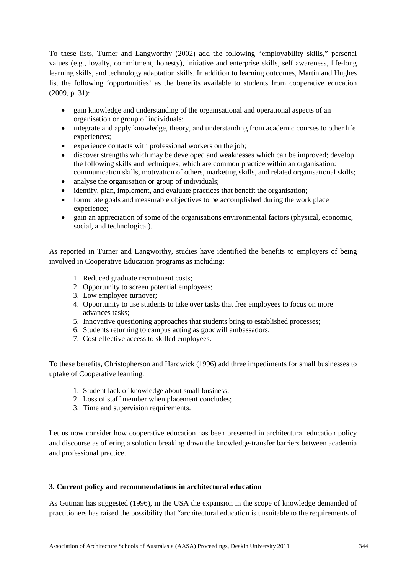To these lists, Turner and Langworthy (2002) add the following "employability skills," personal values (e.g., loyalty, commitment, honesty), initiative and enterprise skills, self awareness, life-long learning skills, and technology adaptation skills. In addition to learning outcomes, Martin and Hughes list the following 'opportunities' as the benefits available to students from cooperative education (2009, p. 31):

- gain knowledge and understanding of the organisational and operational aspects of an organisation or group of individuals;
- integrate and apply knowledge, theory, and understanding from academic courses to other life experiences;
- experience contacts with professional workers on the job;
- discover strengths which may be developed and weaknesses which can be improved; develop the following skills and techniques, which are common practice within an organisation: communication skills, motivation of others, marketing skills, and related organisational skills;
- analyse the organisation or group of individuals;
- identify, plan, implement, and evaluate practices that benefit the organisation;
- formulate goals and measurable objectives to be accomplished during the work place experience;
- gain an appreciation of some of the organisations environmental factors (physical, economic, social, and technological).

As reported in Turner and Langworthy, studies have identified the benefits to employers of being involved in Cooperative Education programs as including:

- 1. Reduced graduate recruitment costs;
- 2. Opportunity to screen potential employees;
- 3. Low employee turnover;
- 4. Opportunity to use students to take over tasks that free employees to focus on more advances tasks;
- 5. Innovative questioning approaches that students bring to established processes;
- 6. Students returning to campus acting as goodwill ambassadors;
- 7. Cost effective access to skilled employees.

To these benefits, Christopherson and Hardwick (1996) add three impediments for small businesses to uptake of Cooperative learning:

- 1. Student lack of knowledge about small business;
- 2. Loss of staff member when placement concludes;
- 3. Time and supervision requirements.

Let us now consider how cooperative education has been presented in architectural education policy and discourse as offering a solution breaking down the knowledge-transfer barriers between academia and professional practice.

### **3. Current policy and recommendations in architectural education**

As Gutman has suggested (1996), in the USA the expansion in the scope of knowledge demanded of practitioners has raised the possibility that "architectural education is unsuitable to the requirements of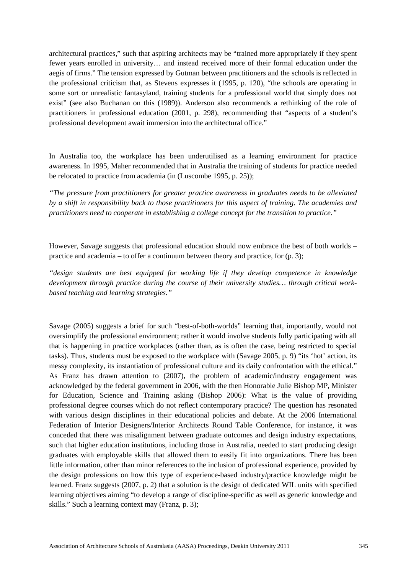architectural practices," such that aspiring architects may be "trained more appropriately if they spent fewer years enrolled in university… and instead received more of their formal education under the aegis of firms." The tension expressed by Gutman between practitioners and the schools is reflected in the professional criticism that, as Stevens expresses it (1995, p. 120), "the schools are operating in some sort or unrealistic fantasyland, training students for a professional world that simply does not exist" (see also Buchanan on this (1989)). Anderson also recommends a rethinking of the role of practitioners in professional education (2001, p. 298), recommending that "aspects of a student's professional development await immersion into the architectural office."

In Australia too, the workplace has been underutilised as a learning environment for practice awareness. In 1995, Maher recommended that in Australia the training of students for practice needed be relocated to practice from academia (in (Luscombe 1995, p. 25));

*"The pressure from practitioners for greater practice awareness in graduates needs to be alleviated by a shift in responsibility back to those practitioners for this aspect of training. The academies and practitioners need to cooperate in establishing a college concept for the transition to practice."*

However, Savage suggests that professional education should now embrace the best of both worlds – practice and academia – to offer a continuum between theory and practice, for (p. 3);

*"design students are best equipped for working life if they develop competence in knowledge development through practice during the course of their university studies… through critical workbased teaching and learning strategies."* 

Savage (2005) suggests a brief for such "best-of-both-worlds" learning that, importantly, would not oversimplify the professional environment; rather it would involve students fully participating with all that is happening in practice workplaces (rather than, as is often the case, being restricted to special tasks). Thus, students must be exposed to the workplace with (Savage 2005, p. 9) "its 'hot' action, its messy complexity, its instantiation of professional culture and its daily confrontation with the ethical." As Franz has drawn attention to (2007), the problem of academic/industry engagement was acknowledged by the federal government in 2006, with the then Honorable Julie Bishop MP, Minister for Education, Science and Training asking (Bishop 2006): What is the value of providing professional degree courses which do not reflect contemporary practice? The question has resonated with various design disciplines in their educational policies and debate. At the 2006 International Federation of Interior Designers/Interior Architects Round Table Conference, for instance, it was conceded that there was misalignment between graduate outcomes and design industry expectations, such that higher education institutions, including those in Australia, needed to start producing design graduates with employable skills that allowed them to easily fit into organizations. There has been little information, other than minor references to the inclusion of professional experience, provided by the design professions on how this type of experience-based industry/practice knowledge might be learned. Franz suggests (2007, p. 2) that a solution is the design of dedicated WIL units with specified learning objectives aiming "to develop a range of discipline-specific as well as generic knowledge and skills." Such a learning context may (Franz, p. 3);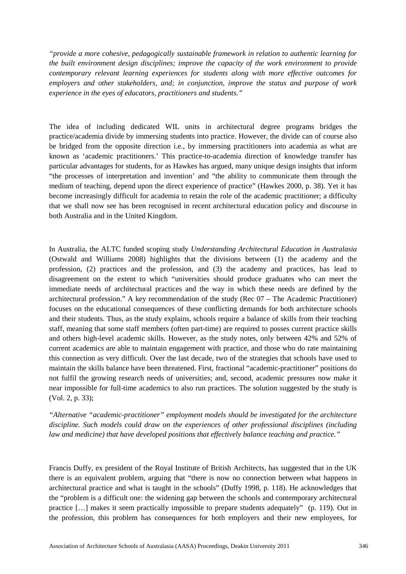*"provide a more cohesive, pedagogically sustainable framework in relation to authentic learning for the built environment design disciplines; improve the capacity of the work environment to provide contemporary relevant learning experiences for students along with more effective outcomes for employers and other stakeholders, and; in conjunction, improve the status and purpose of work experience in the eyes of educators, practitioners and students."*

The idea of including dedicated WIL units in architectural degree programs bridges the practice/academia divide by immersing students into practice. However, the divide can of course also be bridged from the opposite direction i.e., by immersing practitioners into academia as what are known as 'academic practitioners.' This practice-to-academia direction of knowledge transfer has particular advantages for students, for as Hawkes has argued, many unique design insights that inform "the processes of interpretation and invention' and "the ability to communicate them through the medium of teaching, depend upon the direct experience of practice" (Hawkes 2000, p. 38). Yet it has become increasingly difficult for academia to retain the role of the academic practitioner; a difficulty that we shall now see has been recognised in recent architectural education policy and discourse in both Australia and in the United Kingdom.

In Australia, the ALTC funded scoping study *Understanding Architectural Education in Australasia* (Ostwald and Williams 2008) highlights that the divisions between (1) the academy and the profession, (2) practices and the profession, and (3) the academy and practices, has lead to disagreement on the extent to which "universities should produce graduates who can meet the immediate needs of architectural practices and the way in which these needs are defined by the architectural profession." A key recommendation of the study (Rec 07 – The Academic Practitioner) focuses on the educational consequences of these conflicting demands for both architecture schools and their students. Thus, as the study explains, schools require a balance of skills from their teaching staff, meaning that some staff members (often part-time) are required to posses current practice skills and others high-level academic skills. However, as the study notes, only between 42% and 52% of current academics are able to maintain engagement with practice, and those who do rate maintaining this connection as very difficult. Over the last decade, two of the strategies that schools have used to maintain the skills balance have been threatened. First, fractional "academic-practitioner" positions do not fulfil the growing research needs of universities; and, second, academic pressures now make it near impossible for full-time academics to also run practices. The solution suggested by the study is (Vol. 2, p. 33);

*"Alternative "academic-practitioner" employment models should be investigated for the architecture discipline. Such models could draw on the experiences of other professional disciplines (including law and medicine) that have developed positions that effectively balance teaching and practice."*

Francis Duffy, ex president of the Royal Institute of British Architects, has suggested that in the UK there is an equivalent problem, arguing that "there is now no connection between what happens in architectural practice and what is taught in the schools" (Duffy 1998, p. 118). He acknowledges that the "problem is a difficult one: the widening gap between the schools and contemporary architectural practice […] makes it seem practically impossible to prepare students adequately" (p. 119). Out in the profession, this problem has consequences for both employers and their new employees, for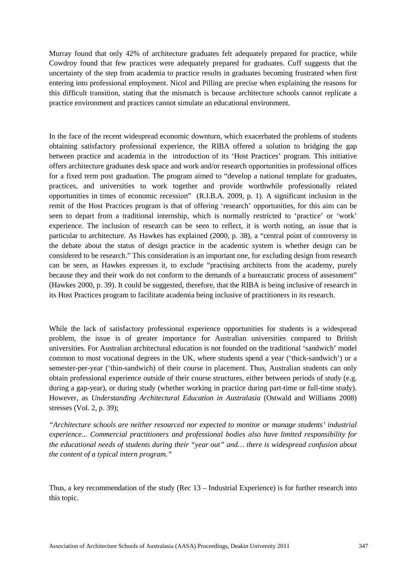Murray found that only 42% of architecture graduates felt adequately prepared for practice, while Cowdroy found that few practices were adequately prepared for graduates. Cuff suggests that the uncertainty of the step from academia to practice results in graduates becoming frustrated when first entering into professional employment. Nicol and Pilling are precise when explaining the reasons for this difficult transition, stating that the mismatch is because architecture schools cannot replicate a practice environment and practices cannot simulate an educational environment.

In the face of the recent widespread economic downturn, which exacerbated the problems of students obtaining satisfactory professional experience, the RIBA offered a solution to bridging the gap between practice and academia in the introduction of its 'Host Practices' program. This initiative offers architecture graduates desk space and work and/or research opportunities in professional offices for a fixed term post graduation. The program aimed to "develop a national template for graduates, practices, and universities to work together and provide worthwhile professionally related opportunities in times of economic recession" (R.I.B.A. 2009, p. 1). A significant inclusion in the remit of the Host Practices program is that of offering 'research' opportunities, for this aim can be seen to depart from a traditional internship, which is normally restricted to 'practice' or 'work' experience. The inclusion of research can be seen to reflect, it is worth noting, an issue that is particular to architecture. As Hawkes has explained (2000, p. 38), a "central point of controversy in the debate about the status of design practice in the academic system is whether design can be considered to be research." This consideration is an important one, for excluding design from research can be seen, as Hawkes expresses it, to exclude "practising architects from the academy, purely because they and their work do not conform to the demands of a bureaucratic process of assessment" (Hawkes 2000, p. 39). It could be suggested, therefore, that the RIBA is being inclusive of research in its Host Practices program to facilitate academia being inclusive of practitioners in its research.

While the lack of satisfactory professional experience opportunities for students is a widespread problem, the issue is of greater importance for Australian universities compared to British universities. For Australian architectural education is not founded on the traditional 'sandwich' model common to most vocational degrees in the UK, where students spend a year ('thick-sandwich') or a semester-per-year ('thin-sandwich) of their course in placement. Thus, Australian students can only obtain professional experience outside of their course structures, either between periods of study (e.g. during a gap-year), or during study (whether working in practice during part-time or full-time study). However, as *Understanding Architectural Education in Australasia* (Ostwald and Williams 2008) stresses (Vol. 2, p. 39);

*"Architecture schools are neither resourced nor expected to monitor or manage students' industrial experience... Commercial practitioners and professional bodies also have limited responsibility for the educational needs of students during their "year out" and… there is widespread confusion about the content of a typical intern program."*

Thus, a key recommendation of the study (Rec 13 – Industrial Experience) is for further research into this topic.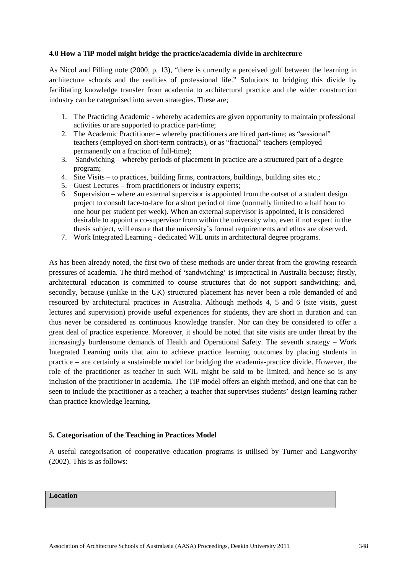### **4.0 How a TiP model might bridge the practice/academia divide in architecture**

As Nicol and Pilling note (2000, p. 13), "there is currently a perceived gulf between the learning in architecture schools and the realities of professional life." Solutions to bridging this divide by facilitating knowledge transfer from academia to architectural practice and the wider construction industry can be categorised into seven strategies. These are;

- 1. The Practicing Academic whereby academics are given opportunity to maintain professional activities or are supported to practice part-time;
- 2. The Academic Practitioner whereby practitioners are hired part-time; as "sessional" teachers (employed on short-term contracts), or as "fractional" teachers (employed permanently on a fraction of full-time);
- 3. Sandwiching whereby periods of placement in practice are a structured part of a degree program;
- 4. Site Visits to practices, building firms, contractors, buildings, building sites etc.;
- 5. Guest Lectures from practitioners or industry experts;
- 6. Supervision where an external supervisor is appointed from the outset of a student design project to consult face-to-face for a short period of time (normally limited to a half hour to one hour per student per week). When an external supervisor is appointed, it is considered desirable to appoint a co-supervisor from within the university who, even if not expert in the thesis subject, will ensure that the university's formal requirements and ethos are observed.
- 7. Work Integrated Learning dedicated WIL units in architectural degree programs.

As has been already noted, the first two of these methods are under threat from the growing research pressures of academia. The third method of 'sandwiching' is impractical in Australia because; firstly, architectural education is committed to course structures that do not support sandwiching; and, secondly, because (unlike in the UK) structured placement has never been a role demanded of and resourced by architectural practices in Australia. Although methods 4, 5 and 6 (site visits, guest lectures and supervision) provide useful experiences for students, they are short in duration and can thus never be considered as continuous knowledge transfer. Nor can they be considered to offer a great deal of practice experience. Moreover, it should be noted that site visits are under threat by the increasingly burdensome demands of Health and Operational Safety. The seventh strategy – Work Integrated Learning units that aim to achieve practice learning outcomes by placing students in practice – are certainly a sustainable model for bridging the academia-practice divide. However, the role of the practitioner as teacher in such WIL might be said to be limited, and hence so is any inclusion of the practitioner in academia. The TiP model offers an eighth method, and one that can be seen to include the practitioner as a teacher; a teacher that supervises students' design learning rather than practice knowledge learning.

### **5. Categorisation of the Teaching in Practices Model**

A useful categorisation of cooperative education programs is utilised by Turner and Langworthy (2002). This is as follows:

## **Location**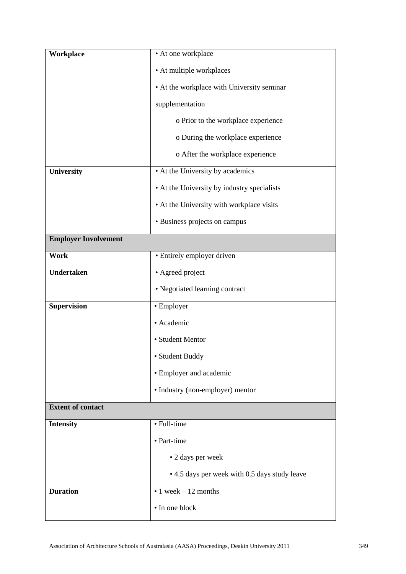| Workplace                   | • At one workplace                            |  |
|-----------------------------|-----------------------------------------------|--|
|                             | • At multiple workplaces                      |  |
|                             | • At the workplace with University seminar    |  |
|                             | supplementation                               |  |
|                             | o Prior to the workplace experience           |  |
|                             | o During the workplace experience             |  |
|                             | o After the workplace experience              |  |
| University                  | • At the University by academics              |  |
|                             | • At the University by industry specialists   |  |
|                             | • At the University with workplace visits     |  |
|                             | • Business projects on campus                 |  |
| <b>Employer Involvement</b> |                                               |  |
| <b>Work</b>                 | • Entirely employer driven                    |  |
| Undertaken                  | • Agreed project                              |  |
|                             | • Negotiated learning contract                |  |
| <b>Supervision</b>          | • Employer                                    |  |
|                             | • Academic                                    |  |
|                             | • Student Mentor                              |  |
|                             | • Student Buddy                               |  |
|                             | • Employer and academic                       |  |
|                             | · Industry (non-employer) mentor              |  |
| <b>Extent of contact</b>    |                                               |  |
| <b>Intensity</b>            | • Full-time                                   |  |
|                             | • Part-time                                   |  |
|                             | • 2 days per week                             |  |
|                             | • 4.5 days per week with 0.5 days study leave |  |
| <b>Duration</b>             | $\bullet$ 1 week – 12 months                  |  |
|                             | • In one block                                |  |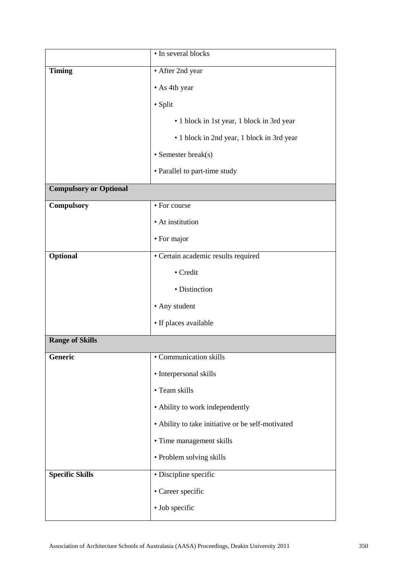|                               | • In several blocks                               |  |
|-------------------------------|---------------------------------------------------|--|
| <b>Timing</b>                 | • After 2nd year                                  |  |
|                               | • As 4th year                                     |  |
|                               | • Split                                           |  |
|                               | • 1 block in 1st year, 1 block in 3rd year        |  |
|                               | • 1 block in 2nd year, 1 block in 3rd year        |  |
|                               | $\bullet$ Semester break(s)                       |  |
|                               | • Parallel to part-time study                     |  |
| <b>Compulsory or Optional</b> |                                                   |  |
| Compulsory                    | • For course                                      |  |
|                               | • At institution                                  |  |
|                               | • For major                                       |  |
| Optional                      | · Certain academic results required               |  |
|                               | • Credit                                          |  |
|                               | • Distinction                                     |  |
|                               | • Any student                                     |  |
|                               | • If places available                             |  |
| <b>Range of Skills</b>        |                                                   |  |
| Generic                       | • Communication skills                            |  |
|                               | • Interpersonal skills                            |  |
|                               | • Team skills                                     |  |
|                               | • Ability to work independently                   |  |
|                               | • Ability to take initiative or be self-motivated |  |
|                               | • Time management skills                          |  |
|                               | • Problem solving skills                          |  |
| <b>Specific Skills</b>        | • Discipline specific                             |  |
|                               | • Career specific                                 |  |
|                               | • Job specific                                    |  |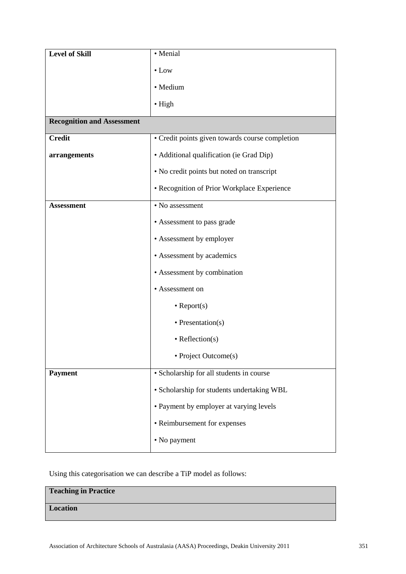| <b>Level of Skill</b>             | • Menial                                        |
|-----------------------------------|-------------------------------------------------|
|                                   | $\bullet$ Low                                   |
|                                   | · Medium                                        |
|                                   | $\bullet$ High                                  |
| <b>Recognition and Assessment</b> |                                                 |
| <b>Credit</b>                     | • Credit points given towards course completion |
| arrangements                      | • Additional qualification (ie Grad Dip)        |
|                                   | • No credit points but noted on transcript      |
|                                   | • Recognition of Prior Workplace Experience     |
| <b>Assessment</b>                 | $\overline{\cdot}$ No assessment                |
|                                   | • Assessment to pass grade                      |
|                                   | • Assessment by employer                        |
|                                   | • Assessment by academics                       |
|                                   | • Assessment by combination                     |
|                                   | • Assessment on                                 |
|                                   | $\bullet$ Report(s)                             |
|                                   | $\bullet$ Presentation(s)                       |
|                                   | $\bullet$ Reflection(s)                         |
|                                   | • Project Outcome(s)                            |
| <b>Payment</b>                    | · Scholarship for all students in course        |
|                                   | • Scholarship for students undertaking WBL      |
|                                   | • Payment by employer at varying levels         |
|                                   | • Reimbursement for expenses                    |
|                                   | • No payment                                    |
|                                   |                                                 |

Using this categorisation we can describe a TiP model as follows:

# **Teaching in Practice**

**Location**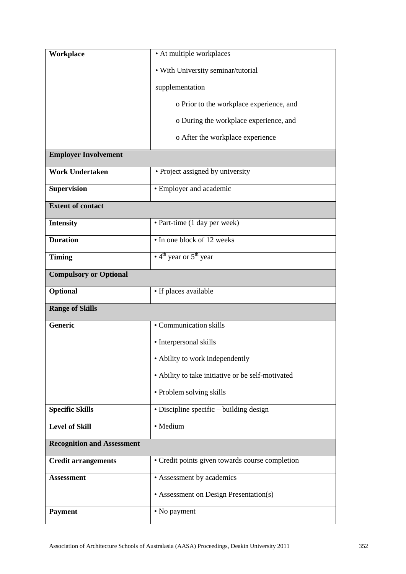| Workplace                         | • At multiple workplaces                             |  |
|-----------------------------------|------------------------------------------------------|--|
|                                   | • With University seminar/tutorial                   |  |
|                                   | supplementation                                      |  |
|                                   | o Prior to the workplace experience, and             |  |
|                                   | o During the workplace experience, and               |  |
|                                   | o After the workplace experience                     |  |
| <b>Employer Involvement</b>       |                                                      |  |
| <b>Work Undertaken</b>            | • Project assigned by university                     |  |
| <b>Supervision</b>                | • Employer and academic                              |  |
| <b>Extent of contact</b>          |                                                      |  |
| <b>Intensity</b>                  | · Part-time (1 day per week)                         |  |
| <b>Duration</b>                   | • In one block of 12 weeks                           |  |
| <b>Timing</b>                     | $\cdot$ 4 <sup>th</sup> year or 5 <sup>th</sup> year |  |
| <b>Compulsory or Optional</b>     |                                                      |  |
| Optional                          | • If places available                                |  |
| <b>Range of Skills</b>            |                                                      |  |
| <b>Generic</b>                    | • Communication skills                               |  |
|                                   | • Interpersonal skills                               |  |
|                                   | • Ability to work independently                      |  |
|                                   | • Ability to take initiative or be self-motivated    |  |
|                                   | • Problem solving skills                             |  |
| <b>Specific Skills</b>            | • Discipline specific – building design              |  |
| <b>Level of Skill</b>             | • Medium                                             |  |
| <b>Recognition and Assessment</b> |                                                      |  |
| <b>Credit arrangements</b>        | • Credit points given towards course completion      |  |
| <b>Assessment</b>                 | • Assessment by academics                            |  |
|                                   | • Assessment on Design Presentation(s)               |  |
| <b>Payment</b>                    | • No payment                                         |  |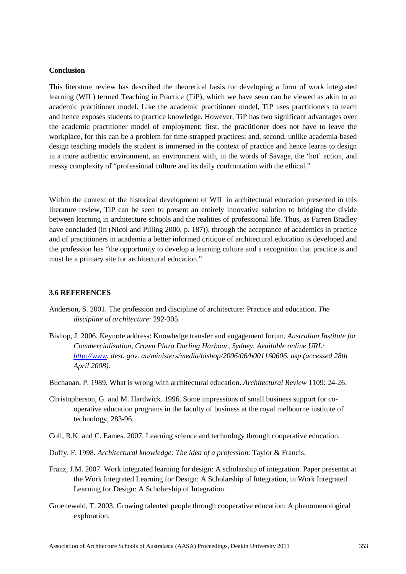### **Conclusion**

This literature review has described the theoretical basis for developing a form of work integrated learning (WIL) termed Teaching in Practice (TiP), which we have seen can be viewed as akin to an academic practitioner model. Like the academic practitioner model, TiP uses practitioners to teach and hence exposes students to practice knowledge. However, TiP has two significant advantages over the academic practitioner model of employment: first, the practitioner does not have to leave the workplace, for this can be a problem for time-strapped practices; and, second, unlike academia-based design teaching models the student is immersed in the context of practice and hence learns to design in a more authentic environment, an environment with, in the words of Savage, the 'hot' action, and messy complexity of "professional culture and its daily confrontation with the ethical."

Within the context of the historical development of WIL in architectural education presented in this literature review, TiP can be seen to present an entirely innovative solution to bridging the divide between learning in architecture schools and the realities of professional life. Thus, as Farren Bradley have concluded (in (Nicol and Pilling 2000, p. 187)), through the acceptance of academics in practice and of practitioners in academia a better informed critique of architectural education is developed and the profession has "the opportunity to develop a learning culture and a recognition that practice is and must be a primary site for architectural education."

#### **3.6 REFERENCES**

- Anderson, S. 2001. The profession and discipline of architecture: Practice and education. *The discipline of architecture*: 292-305.
- Bishop, J. 2006. Keynote address: Knowledge transfer and engagement forum. *Australian Institute for Commercialisation, Crown Plaza Darling Harbour, Sydney. Available online URL: [http://www.](http://www/) dest. gov. au/ministers/media/bishop/2006/06/b001160606. asp (accessed 28th April 2008)*.
- Buchanan, P. 1989. What is wrong with architectural education. *Architectural Review* 1109: 24-26.
- Christopherson, G. and M. Hardwick. 1996. Some impressions of small business support for cooperative education programs in the faculty of business at the royal melbourne institute of technology, 283-96.
- Coll, R.K. and C. Eames. 2007. Learning science and technology through cooperative education.
- Duffy, F. 1998. *Architectural knowledge: The idea of a profession*: Taylor & Francis.
- Franz, J.M. 2007. Work integrated learning for design: A scholarship of integration. Paper presentat at the Work Integrated Learning for Design: A Scholarship of Integration, in Work Integrated Learning for Design: A Scholarship of Integration.
- Groenewald, T. 2003. Growing talented people through cooperative education: A phenomenological exploration.